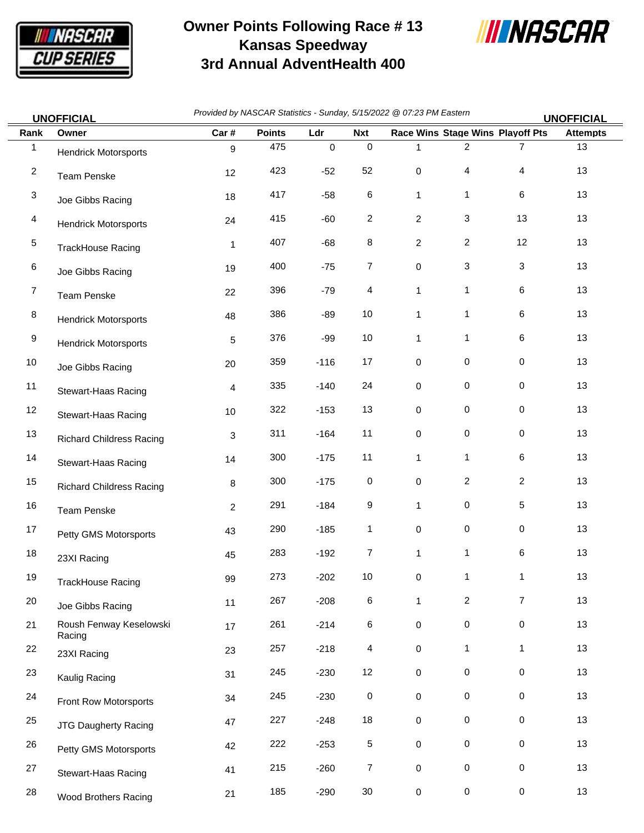

## **Owner Points Following Race # 13 Kansas Speedway 3rd Annual AdventHealth 400**



| <b>UNOFFICIAL</b>       |                                   | Provided by NASCAR Statistics - Sunday, 5/15/2022 @ 07:23 PM Eastern<br><b>UNOFFICIAL</b> |               |           |                |                     |                     |                                  |                 |  |
|-------------------------|-----------------------------------|-------------------------------------------------------------------------------------------|---------------|-----------|----------------|---------------------|---------------------|----------------------------------|-----------------|--|
| Rank                    | Owner                             | Car#                                                                                      | <b>Points</b> | Ldr       | <b>Nxt</b>     |                     |                     | Race Wins Stage Wins Playoff Pts | <b>Attempts</b> |  |
| 1                       | <b>Hendrick Motorsports</b>       | 9                                                                                         | 475           | $\pmb{0}$ | $\pmb{0}$      | $\mathbf{1}$        | $\boldsymbol{2}$    | $\overline{7}$                   | 13              |  |
| $\overline{\mathbf{c}}$ | Team Penske                       | 12                                                                                        | 423           | $-52$     | 52             | 0                   | 4                   | 4                                | 13              |  |
| 3                       | Joe Gibbs Racing                  | 18                                                                                        | 417           | $-58$     | 6              | 1                   | 1                   | 6                                | 13              |  |
| 4                       | <b>Hendrick Motorsports</b>       | 24                                                                                        | 415           | $-60$     | $\overline{c}$ | $\overline{c}$      | 3                   | 13                               | 13              |  |
| 5                       | <b>TrackHouse Racing</b>          | 1                                                                                         | 407           | $-68$     | 8              | $\mathbf{2}$        | $\overline{c}$      | 12                               | 13              |  |
| 6                       | Joe Gibbs Racing                  | 19                                                                                        | 400           | $-75$     | 7              | 0                   | 3                   | 3                                | 13              |  |
| 7                       | Team Penske                       | 22                                                                                        | 396           | $-79$     | $\overline{4}$ | 1                   | 1                   | 6                                | 13              |  |
| 8                       | <b>Hendrick Motorsports</b>       | 48                                                                                        | 386           | $-89$     | $10$           | 1                   | 1                   | 6                                | 13              |  |
| 9                       | <b>Hendrick Motorsports</b>       | 5                                                                                         | 376           | $-99$     | $10$           | 1                   | 1                   | 6                                | 13              |  |
| 10                      | Joe Gibbs Racing                  | 20                                                                                        | 359           | $-116$    | 17             | 0                   | 0                   | $\pmb{0}$                        | 13              |  |
| 11                      | Stewart-Haas Racing               | 4                                                                                         | 335           | $-140$    | 24             | 0                   | 0                   | $\,0\,$                          | 13              |  |
| 12                      | Stewart-Haas Racing               | 10                                                                                        | 322           | $-153$    | 13             | 0                   | 0                   | $\,0\,$                          | 13              |  |
| 13                      | <b>Richard Childress Racing</b>   | 3                                                                                         | 311           | $-164$    | 11             | 0                   | 0                   | $\,0\,$                          | 13              |  |
| 14                      | Stewart-Haas Racing               | 14                                                                                        | 300           | $-175$    | 11             | 1                   | 1                   | 6                                | 13              |  |
| 15                      | <b>Richard Childress Racing</b>   | 8                                                                                         | 300           | $-175$    | $\pmb{0}$      | 0                   | $\overline{c}$      | $\overline{\mathbf{c}}$          | 13              |  |
| 16                      | Team Penske                       | $\overline{2}$                                                                            | 291           | $-184$    | 9              | $\mathbf{1}$        | 0                   | 5                                | 13              |  |
| 17                      | Petty GMS Motorsports             | 43                                                                                        | 290           | $-185$    | 1              | 0                   | $\mathbf 0$         | $\pmb{0}$                        | 13              |  |
| 18                      | 23XI Racing                       | 45                                                                                        | 283           | $-192$    | 7              | 1                   | 1                   | 6                                | 13              |  |
| 19                      | TrackHouse Racing                 | 99                                                                                        | 273           | $-202$    | 10             | $\Omega$            | 1.                  | 1                                | 13              |  |
| $20\,$                  | Joe Gibbs Racing                  | 11                                                                                        | 267           | $-208$    | 6              | 1                   | $\overline{c}$      | $\overline{7}$                   | 13              |  |
| 21                      | Roush Fenway Keselowski<br>Racing | 17                                                                                        | 261           | $-214$    | 6              | 0                   | 0                   | $\,0\,$                          | 13              |  |
| 22                      | 23XI Racing                       | 23                                                                                        | 257           | $-218$    | 4              | $\mathsf{O}\xspace$ | 1                   | $\mathbf{1}$                     | 13              |  |
| 23                      | Kaulig Racing                     | 31                                                                                        | 245           | $-230$    | 12             | 0                   | 0                   | $\,0\,$                          | 13              |  |
| 24                      | Front Row Motorsports             | 34                                                                                        | 245           | $-230$    | $\pmb{0}$      | $\mathsf{O}\xspace$ | 0                   | $\,0\,$                          | 13              |  |
| 25                      | <b>JTG Daugherty Racing</b>       | 47                                                                                        | 227           | $-248$    | 18             | 0                   | 0                   | $\,0\,$                          | 13              |  |
| 26                      | Petty GMS Motorsports             | 42                                                                                        | 222           | $-253$    | 5              | $\mathsf{O}$        | $\mathsf{O}\xspace$ | $\pmb{0}$                        | 13              |  |
| 27                      | Stewart-Haas Racing               | 41                                                                                        | 215           | $-260$    | $\overline{7}$ | $\mathsf{O}\xspace$ | 0                   | $\pmb{0}$                        | 13              |  |
| 28                      | Wood Brothers Racing              | 21                                                                                        | 185           | $-290$    | $30\,$         | $\pmb{0}$           | $\pmb{0}$           | 0                                | 13              |  |